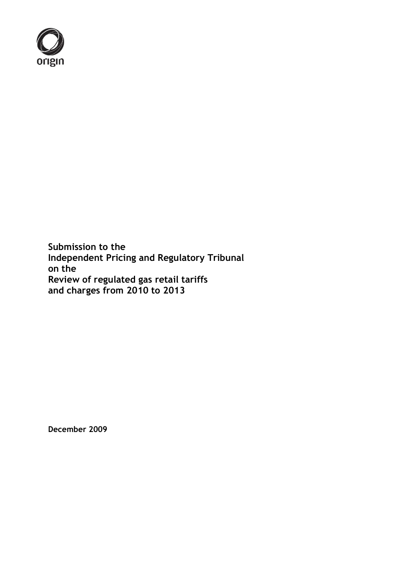

**Submission to the Independent Pricing and Regulatory Tribunal on the Review of regulated gas retail tariffs and charges from 2010 to 2013**

**December 2009**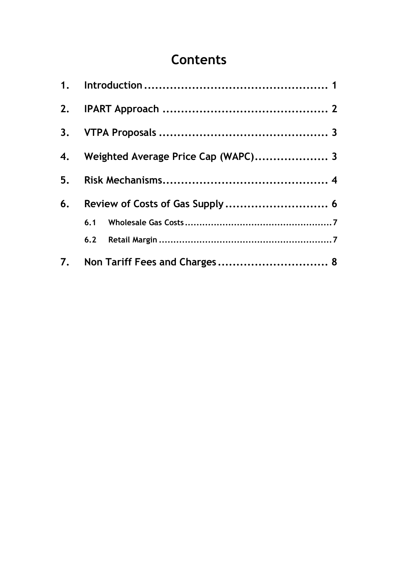# **Contents**

|    | 4. Weighted Average Price Cap (WAPC) 3 |  |
|----|----------------------------------------|--|
|    |                                        |  |
| 6. |                                        |  |
|    |                                        |  |
|    |                                        |  |
|    |                                        |  |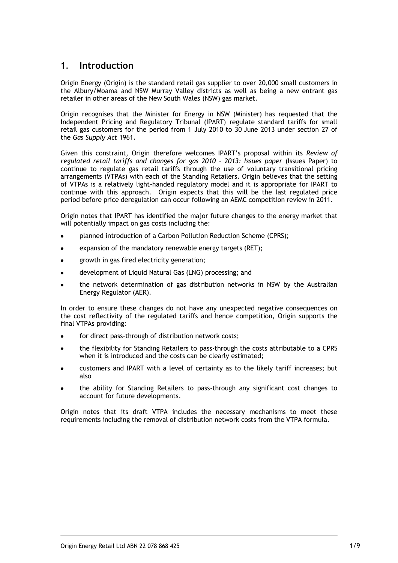## <span id="page-2-0"></span>1. **Introduction**

Origin Energy (Origin) is the standard retail gas supplier to over 20,000 small customers in the Albury/Moama and NSW Murray Valley districts as well as being a new entrant gas retailer in other areas of the New South Wales (NSW) gas market.

Origin recognises that the Minister for Energy in NSW (Minister) has requested that the Independent Pricing and Regulatory Tribunal (IPART) regulate standard tariffs for small retail gas customers for the period from 1 July 2010 to 30 June 2013 under section 27 of the *Gas Supply Act* 1961.

Given this constraint, Origin therefore welcomes IPART's proposal within its *Review of regulated retail tariffs and changes for gas 2010 – 2013: Issues paper* (Issues Paper) to continue to regulate gas retail tariffs through the use of voluntary transitional pricing arrangements (VTPAs) with each of the Standing Retailers. Origin believes that the setting of VTPAs is a relatively light-handed regulatory model and it is appropriate for IPART to continue with this approach. Origin expects that this will be the last regulated price period before price deregulation can occur following an AEMC competition review in 2011.

Origin notes that IPART has identified the major future changes to the energy market that will potentially impact on gas costs including the:

- planned introduction of a Carbon Pollution Reduction Scheme (CPRS);
- expansion of the mandatory renewable energy targets (RET);
- growth in gas fired electricity generation;
- development of Liquid Natural Gas (LNG) processing; and
- the network determination of gas distribution networks in NSW by the Australian Energy Regulator (AER).

In order to ensure these changes do not have any unexpected negative consequences on the cost reflectivity of the regulated tariffs and hence competition, Origin supports the final VTPAs providing:

- for direct pass-through of distribution network costs;
- the flexibility for Standing Retailers to pass-through the costs attributable to a CPRS when it is introduced and the costs can be clearly estimated;
- customers and IPART with a level of certainty as to the likely tariff increases; but also
- the ability for Standing Retailers to pass-through any significant cost changes to account for future developments.

Origin notes that its draft VTPA includes the necessary mechanisms to meet these requirements including the removal of distribution network costs from the VTPA formula.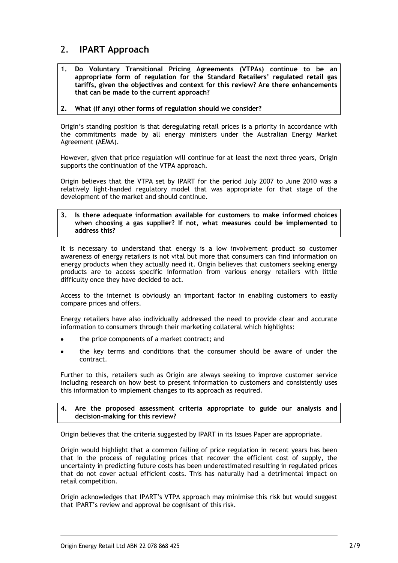# <span id="page-3-0"></span>2. **IPART Approach**

- **1. Do Voluntary Transitional Pricing Agreements (VTPAs) continue to be an appropriate form of regulation for the Standard Retailers' regulated retail gas tariffs, given the objectives and context for this review? Are there enhancements that can be made to the current approach?**
- **2. What (if any) other forms of regulation should we consider?**

Origin's standing position is that deregulating retail prices is a priority in accordance with the commitments made by all energy ministers under the Australian Energy Market Agreement (AEMA).

However, given that price regulation will continue for at least the next three years, Origin supports the continuation of the VTPA approach.

Origin believes that the VTPA set by IPART for the period July 2007 to June 2010 was a relatively light-handed regulatory model that was appropriate for that stage of the development of the market and should continue.

**3. Is there adequate information available for customers to make informed choices when choosing a gas supplier? If not, what measures could be implemented to address this?**

It is necessary to understand that energy is a low involvement product so customer awareness of energy retailers is not vital but more that consumers can find information on energy products when they actually need it. Origin believes that customers seeking energy products are to access specific information from various energy retailers with little difficulty once they have decided to act.

Access to the internet is obviously an important factor in enabling customers to easily compare prices and offers.

Energy retailers have also individually addressed the need to provide clear and accurate information to consumers through their marketing collateral which highlights:

- the price components of a market contract; and
- the key terms and conditions that the consumer should be aware of under the contract.

Further to this, retailers such as Origin are always seeking to improve customer service including research on how best to present information to customers and consistently uses this information to implement changes to its approach as required.

#### **4. Are the proposed assessment criteria appropriate to guide our analysis and decision-making for this review?**

Origin believes that the criteria suggested by IPART in its Issues Paper are appropriate.

Origin would highlight that a common failing of price regulation in recent years has been that in the process of regulating prices that recover the efficient cost of supply, the uncertainty in predicting future costs has been underestimated resulting in regulated prices that do not cover actual efficient costs. This has naturally had a detrimental impact on retail competition.

Origin acknowledges that IPART's VTPA approach may minimise this risk but would suggest that IPART's review and approval be cognisant of this risk.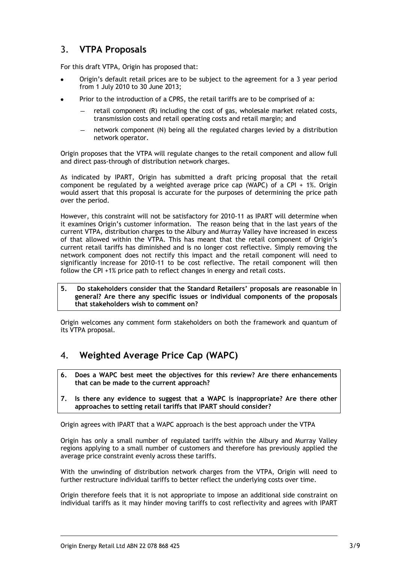# <span id="page-4-0"></span>3. **VTPA Proposals**

For this draft VTPA, Origin has proposed that:

- Origin's default retail prices are to be subject to the agreement for a 3 year period from 1 July 2010 to 30 June 2013;
- Prior to the introduction of a CPRS, the retail tariffs are to be comprised of a:
	- retail component (R) including the cost of gas, wholesale market related costs, transmission costs and retail operating costs and retail margin; and
	- network component (N) being all the regulated charges levied by a distribution network operator.

Origin proposes that the VTPA will regulate changes to the retail component and allow full and direct pass-through of distribution network charges.

As indicated by IPART, Origin has submitted a draft pricing proposal that the retail component be regulated by a weighted average price cap (WAPC) of a CPI + 1%. Origin would assert that this proposal is accurate for the purposes of determining the price path over the period.

However, this constraint will not be satisfactory for 2010-11 as IPART will determine when it examines Origin's customer information. The reason being that in the last years of the current VTPA, distribution charges to the Albury and Murray Valley have increased in excess of that allowed within the VTPA. This has meant that the retail component of Origin's current retail tariffs has diminished and is no longer cost reflective. Simply removing the network component does not rectify this impact and the retail component will need to significantly increase for 2010-11 to be cost reflective. The retail component will then follow the CPI +1% price path to reflect changes in energy and retail costs.

**5. Do stakeholders consider that the Standard Retailers' proposals are reasonable in general? Are there any specific issues or individual components of the proposals that stakeholders wish to comment on?** 

<span id="page-4-1"></span>Origin welcomes any comment form stakeholders on both the framework and quantum of its VTPA proposal.

- 4. **Weighted Average Price Cap (WAPC)**
- **6. Does a WAPC best meet the objectives for this review? Are there enhancements that can be made to the current approach?**
- **7. Is there any evidence to suggest that a WAPC is inappropriate? Are there other approaches to setting retail tariffs that IPART should consider?**

Origin agrees with IPART that a WAPC approach is the best approach under the VTPA

Origin has only a small number of regulated tariffs within the Albury and Murray Valley regions applying to a small number of customers and therefore has previously applied the average price constraint evenly across these tariffs.

With the unwinding of distribution network charges from the VTPA, Origin will need to further restructure individual tariffs to better reflect the underlying costs over time.

Origin therefore feels that it is not appropriate to impose an additional side constraint on individual tariffs as it may hinder moving tariffs to cost reflectivity and agrees with IPART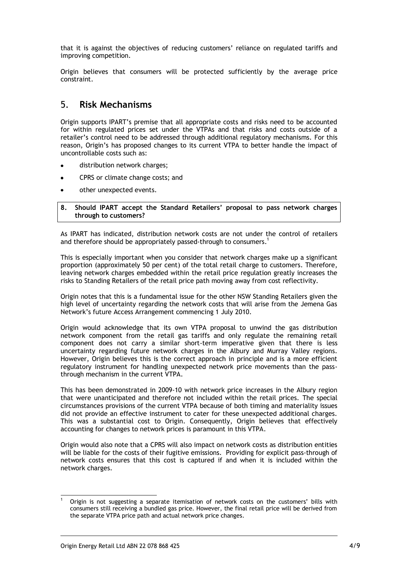that it is against the objectives of reducing customers' reliance on regulated tariffs and improving competition.

<span id="page-5-0"></span>Origin believes that consumers will be protected sufficiently by the average price constraint.

# 5. **Risk Mechanisms**

Origin supports IPART's premise that all appropriate costs and risks need to be accounted for within regulated prices set under the VTPAs and that risks and costs outside of a retailer's control need to be addressed through additional regulatory mechanisms. For this reason, Origin's has proposed changes to its current VTPA to better handle the impact of uncontrollable costs such as:

- distribution network charges;
- $\bullet$ CPRS or climate change costs; and
- other unexpected events.  $\bullet$

#### **8. Should IPART accept the Standard Retailers' proposal to pass network charges through to customers?**

As IPART has indicated, distribution network costs are not under the control of retailers and therefore should be appropriately passed-through to consumers.<sup>1</sup>

This is especially important when you consider that network charges make up a significant proportion (approximately 50 per cent) of the total retail charge to customers. Therefore, leaving network charges embedded within the retail price regulation greatly increases the risks to Standing Retailers of the retail price path moving away from cost reflectivity.

Origin notes that this is a fundamental issue for the other NSW Standing Retailers given the high level of uncertainty regarding the network costs that will arise from the Jemena Gas Network's future Access Arrangement commencing 1 July 2010.

Origin would acknowledge that its own VTPA proposal to unwind the gas distribution network component from the retail gas tariffs and only regulate the remaining retail component does not carry a similar short-term imperative given that there is less uncertainty regarding future network charges in the Albury and Murray Valley regions. However, Origin believes this is the correct approach in principle and is a more efficient regulatory instrument for handling unexpected network price movements than the passthrough mechanism in the current VTPA.

This has been demonstrated in 2009-10 with network price increases in the Albury region that were unanticipated and therefore not included within the retail prices. The special circumstances provisions of the current VTPA because of both timing and materiality issues did not provide an effective instrument to cater for these unexpected additional charges. This was a substantial cost to Origin. Consequently, Origin believes that effectively accounting for changes to network prices is paramount in this VTPA.

Origin would also note that a CPRS will also impact on network costs as distribution entities will be liable for the costs of their fugitive emissions. Providing for explicit pass-through of network costs ensures that this cost is captured if and when it is included within the network charges.

<sup>1</sup> <sup>1</sup> Origin is not suggesting a separate itemisation of network costs on the customers' bills with consumers still receiving a bundled gas price. However, the final retail price will be derived from the separate VTPA price path and actual network price changes.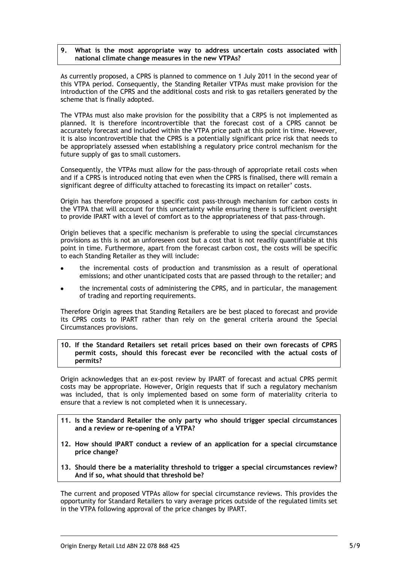#### **9. What is the most appropriate way to address uncertain costs associated with national climate change measures in the new VTPAs?**

As currently proposed, a CPRS is planned to commence on 1 July 2011 in the second year of this VTPA period. Consequently, the Standing Retailer VTPAs must make provision for the introduction of the CPRS and the additional costs and risk to gas retailers generated by the scheme that is finally adopted.

The VTPAs must also make provision for the possibility that a CRPS is not implemented as planned. It is therefore incontrovertible that the forecast cost of a CPRS cannot be accurately forecast and included within the VTPA price path at this point in time. However, it is also incontrovertible that the CPRS is a potentially significant price risk that needs to be appropriately assessed when establishing a regulatory price control mechanism for the future supply of gas to small customers.

Consequently, the VTPAs must allow for the pass-through of appropriate retail costs when and if a CPRS is introduced noting that even when the CPRS is finalised, there will remain a significant degree of difficulty attached to forecasting its impact on retailer' costs.

Origin has therefore proposed a specific cost pass-through mechanism for carbon costs in the VTPA that will account for this uncertainty while ensuring there is sufficient oversight to provide IPART with a level of comfort as to the appropriateness of that pass-through.

Origin believes that a specific mechanism is preferable to using the special circumstances provisions as this is not an unforeseen cost but a cost that is not readily quantifiable at this point in time. Furthermore, apart from the forecast carbon cost, the costs will be specific to each Standing Retailer as they will include:

- the incremental costs of production and transmission as a result of operational emissions; and other unanticipated costs that are passed through to the retailer; and
- the incremental costs of administering the CPRS, and in particular, the management  $\bullet$ of trading and reporting requirements.

Therefore Origin agrees that Standing Retailers are be best placed to forecast and provide its CPRS costs to IPART rather than rely on the general criteria around the Special Circumstances provisions.

#### **10. If the Standard Retailers set retail prices based on their own forecasts of CPRS permit costs, should this forecast ever be reconciled with the actual costs of permits?**

Origin acknowledges that an ex-post review by IPART of forecast and actual CPRS permit costs may be appropriate. However, Origin requests that if such a regulatory mechanism was included, that is only implemented based on some form of materiality criteria to ensure that a review is not completed when it is unnecessary.

- **11. Is the Standard Retailer the only party who should trigger special circumstances and a review or re-opening of a VTPA?**
- **12. How should IPART conduct a review of an application for a special circumstance price change?**
- **13. Should there be a materiality threshold to trigger a special circumstances review? And if so, what should that threshold be?**

The current and proposed VTPAs allow for special circumstance reviews. This provides the opportunity for Standard Retailers to vary average prices outside of the regulated limits set in the VTPA following approval of the price changes by IPART.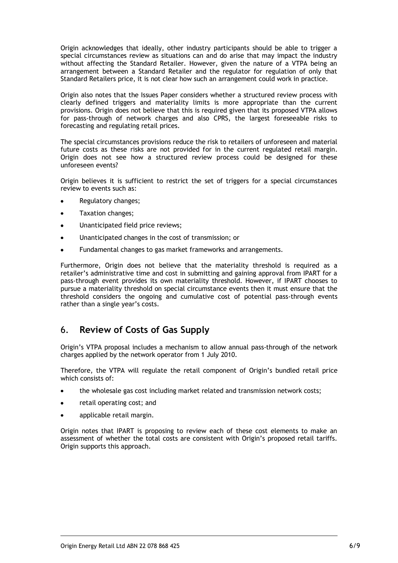Origin acknowledges that ideally, other industry participants should be able to trigger a special circumstances review as situations can and do arise that may impact the industry without affecting the Standard Retailer. However, given the nature of a VTPA being an arrangement between a Standard Retailer and the regulator for regulation of only that Standard Retailers price, it is not clear how such an arrangement could work in practice.

Origin also notes that the Issues Paper considers whether a structured review process with clearly defined triggers and materiality limits is more appropriate than the current provisions. Origin does not believe that this is required given that its proposed VTPA allows for pass-through of network charges and also CPRS, the largest foreseeable risks to forecasting and regulating retail prices.

The special circumstances provisions reduce the risk to retailers of unforeseen and material future costs as these risks are not provided for in the current regulated retail margin. Origin does not see how a structured review process could be designed for these unforeseen events?

Origin believes it is sufficient to restrict the set of triggers for a special circumstances review to events such as:

- Regulatory changes;
- Taxation changes;
- Unanticipated field price reviews;
- Unanticipated changes in the cost of transmission; or
- Fundamental changes to gas market frameworks and arrangements.

Furthermore, Origin does not believe that the materiality threshold is required as a retailer's administrative time and cost in submitting and gaining approval from IPART for a pass-through event provides its own materiality threshold. However, if IPART chooses to pursue a materiality threshold on special circumstance events then it must ensure that the threshold considers the ongoing and cumulative cost of potential pass-through events rather than a single year's costs.

# <span id="page-7-0"></span>6. **Review of Costs of Gas Supply**

Origin's VTPA proposal includes a mechanism to allow annual pass-through of the network charges applied by the network operator from 1 July 2010.

Therefore, the VTPA will regulate the retail component of Origin's bundled retail price which consists of:

- the wholesale gas cost including market related and transmission network costs;
- retail operating cost; and  $\bullet$
- applicable retail margin.  $\bullet$

Origin notes that IPART is proposing to review each of these cost elements to make an assessment of whether the total costs are consistent with Origin's proposed retail tariffs. Origin supports this approach.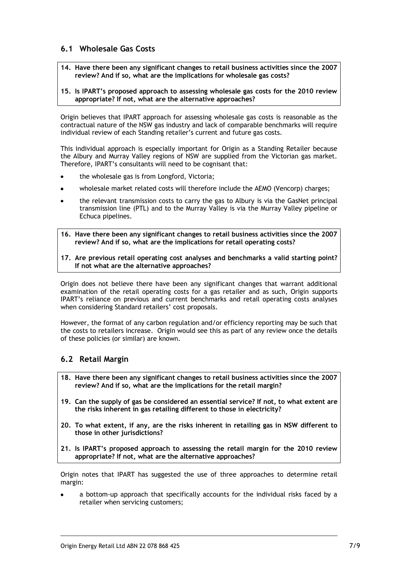### <span id="page-8-0"></span>**6.1 Wholesale Gas Costs**

**14. Have there been any significant changes to retail business activities since the 2007 review? And if so, what are the implications for wholesale gas costs?**

#### **15. Is IPART's proposed approach to assessing wholesale gas costs for the 2010 review appropriate? If not, what are the alternative approaches?**

Origin believes that IPART approach for assessing wholesale gas costs is reasonable as the contractual nature of the NSW gas industry and lack of comparable benchmarks will require individual review of each Standing retailer's current and future gas costs.

This individual approach is especially important for Origin as a Standing Retailer because the Albury and Murray Valley regions of NSW are supplied from the Victorian gas market. Therefore, IPART's consultants will need to be cognisant that:

- the wholesale gas is from Longford, Victoria;
- wholesale market related costs will therefore include the AEMO (Vencorp) charges;
- the relevant transmission costs to carry the gas to Albury is via the GasNet principal transmission line (PTL) and to the Murray Valley is via the Murray Valley pipeline or Echuca pipelines.
- **16. Have there been any significant changes to retail business activities since the 2007 review? And if so, what are the implications for retail operating costs?**
- **17. Are previous retail operating cost analyses and benchmarks a valid starting point? If not what are the alternative approaches?**

Origin does not believe there have been any significant changes that warrant additional examination of the retail operating costs for a gas retailer and as such, Origin supports IPART's reliance on previous and current benchmarks and retail operating costs analyses when considering Standard retailers' cost proposals.

However, the format of any carbon regulation and/or efficiency reporting may be such that the costs to retailers increase. Origin would see this as part of any review once the details of these policies (or similar) are known.

### <span id="page-8-1"></span>**6.2 Retail Margin**

- **18. Have there been any significant changes to retail business activities since the 2007 review? And if so, what are the implications for the retail margin?**
- **19. Can the supply of gas be considered an essential service? If not, to what extent are the risks inherent in gas retailing different to those in electricity?**
- **20. To what extent, if any, are the risks inherent in retailing gas in NSW different to those in other jurisdictions?**
- **21. Is IPART's proposed approach to assessing the retail margin for the 2010 review appropriate? If not, what are the alternative approaches?**

Origin notes that IPART has suggested the use of three approaches to determine retail margin:

a bottom-up approach that specifically accounts for the individual risks faced by a retailer when servicing customers;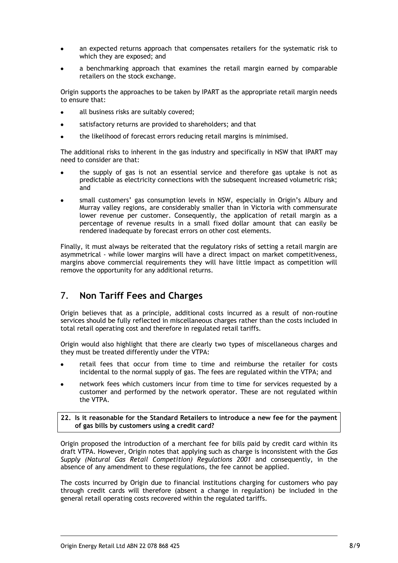- an expected returns approach that compensates retailers for the systematic risk to which they are exposed; and
- a benchmarking approach that examines the retail margin earned by comparable retailers on the stock exchange.

Origin supports the approaches to be taken by IPART as the appropriate retail margin needs to ensure that:

- all business risks are suitably covered;
- satisfactory returns are provided to shareholders; and that  $\bullet$
- the likelihood of forecast errors reducing retail margins is minimised.

The additional risks to inherent in the gas industry and specifically in NSW that IPART may need to consider are that:

- the supply of gas is not an essential service and therefore gas uptake is not as predictable as electricity connections with the subsequent increased volumetric risk; and
- small customers' gas consumption levels in NSW, especially in Origin's Albury and Murray valley regions, are considerably smaller than in Victoria with commensurate lower revenue per customer. Consequently, the application of retail margin as a percentage of revenue results in a small fixed dollar amount that can easily be rendered inadequate by forecast errors on other cost elements.

Finally, it must always be reiterated that the regulatory risks of setting a retail margin are asymmetrical - while lower margins will have a direct impact on market competitiveness, margins above commercial requirements they will have little impact as competition will remove the opportunity for any additional returns.

# <span id="page-9-0"></span>7. **Non Tariff Fees and Charges**

Origin believes that as a principle, additional costs incurred as a result of non-routine services should be fully reflected in miscellaneous charges rather than the costs included in total retail operating cost and therefore in regulated retail tariffs.

Origin would also highlight that there are clearly two types of miscellaneous charges and they must be treated differently under the VTPA:

- retail fees that occur from time to time and reimburse the retailer for costs incidental to the normal supply of gas. The fees are regulated within the VTPA; and
- network fees which customers incur from time to time for services requested by a customer and performed by the network operator. These are not regulated within the VTPA.

**22. Is it reasonable for the Standard Retailers to introduce a new fee for the payment of gas bills by customers using a credit card?**

Origin proposed the introduction of a merchant fee for bills paid by credit card within its draft VTPA. However, Origin notes that applying such as charge is inconsistent with the *Gas Supply (Natural Gas Retail Competition) Regulations 2001* and consequently, in the absence of any amendment to these regulations, the fee cannot be applied.

The costs incurred by Origin due to financial institutions charging for customers who pay through credit cards will therefore (absent a change in regulation) be included in the general retail operating costs recovered within the regulated tariffs.